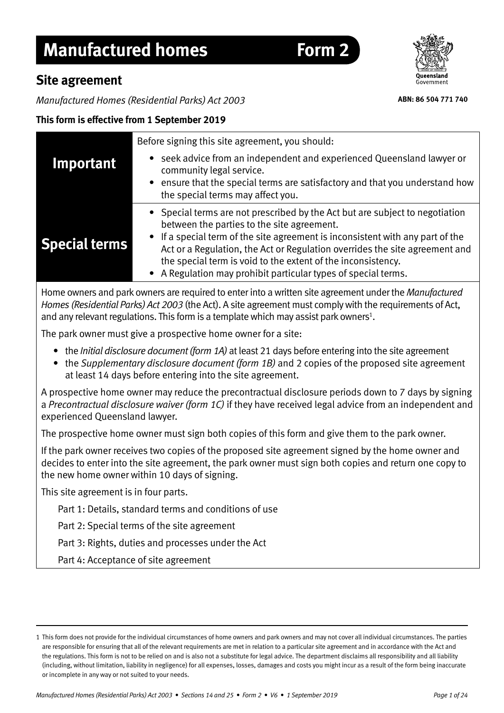# **Manufactured homes Form 2**

## **Site agreement**

*Manufactured Homes (Residential Parks) Act 2003*

## **This form is effective from 1 September 2019**

|                      | Before signing this site agreement, you should:                                                                                                                                                                                                                                                                                                                                                                             |
|----------------------|-----------------------------------------------------------------------------------------------------------------------------------------------------------------------------------------------------------------------------------------------------------------------------------------------------------------------------------------------------------------------------------------------------------------------------|
| Important            | seek advice from an independent and experienced Queensland lawyer or<br>community legal service.<br>ensure that the special terms are satisfactory and that you understand how<br>the special terms may affect you.                                                                                                                                                                                                         |
| <b>Special terms</b> | • Special terms are not prescribed by the Act but are subject to negotiation<br>between the parties to the site agreement.<br>If a special term of the site agreement is inconsistent with any part of the<br>Act or a Regulation, the Act or Regulation overrides the site agreement and<br>the special term is void to the extent of the inconsistency.<br>• A Regulation may prohibit particular types of special terms. |

Home owners and park owners are required to enter into a written site agreement under the *Manufactured Homes (Residential Parks) Act 2003* (the Act). A site agreement must comply with the requirements of Act, and any relevant regulations. This form is a template which may assist park owners<sup>1</sup>.

The park owner must give a prospective home owner for a site:

- the *Initial disclosure document (form 1A)* at least 21 days before entering into the site agreement
- the *Supplementary disclosure document (form 1B)* and 2 copies of the proposed site agreement at least 14 days before entering into the site agreement.

A prospective home owner may reduce the precontractual disclosure periods down to 7 days by signing a *Precontractual disclosure waiver (form 1C)* if they have received legal advice from an independent and experienced Queensland lawyer.

The prospective home owner must sign both copies of this form and give them to the park owner.

If the park owner receives two copies of the proposed site agreement signed by the home owner and decides to enter into the site agreement, the park owner must sign both copies and return one copy to the new home owner within 10 days of signing.

This site agreement is in four parts.

Part 1: Details, standard terms and conditions of use

Part 2: Special terms of the site agreement

Part 3: Rights, duties and processes under the Act

Part 4: Acceptance of site agreement



**ABN: 86 504 771 740**

<sup>1</sup> This form does not provide for the individual circumstances of home owners and park owners and may not cover all individual circumstances. The parties are responsible for ensuring that all of the relevant requirements are met in relation to a particular site agreement and in accordance with the Act and the regulations. This form is not to be relied on and is also not a substitute for legal advice. The department disclaims all responsibility and all liability (including, without limitation, liability in negligence) for all expenses, losses, damages and costs you might incur as a result of the form being inaccurate or incomplete in any way or not suited to your needs.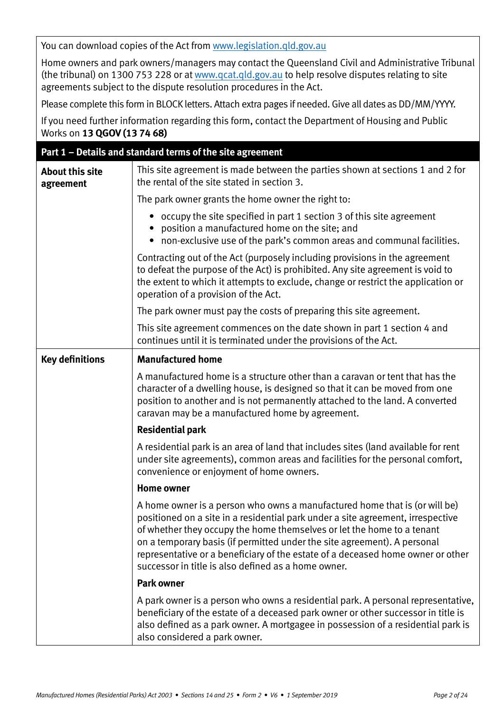You can download copies of the Act from [www.legislation.qld.gov.au](http://www.legislation.qld.gov.au)

Home owners and park owners/managers may contact the Queensland Civil and Administrative Tribunal (the tribunal) on 1300 753 228 or at www.qc[at.qld.gov.au to help r](http://www.qcat.qld.gov.au)esolve disputes relating to site agreements subject to the dispute resolution procedures in the Act.

Please complete this form in BLOCK letters. Attach extra pages if needed. Give all dates as DD/MM/YYYY.

If you need further information regarding this form, contact the Department of Housing and Public Works on **13 QGOV (13 74 68)**

|                                     | Part 1 - Details and standard terms of the site agreement                                                                                                                                                                                                                                                                                                                                                                                                     |
|-------------------------------------|---------------------------------------------------------------------------------------------------------------------------------------------------------------------------------------------------------------------------------------------------------------------------------------------------------------------------------------------------------------------------------------------------------------------------------------------------------------|
| <b>About this site</b><br>agreement | This site agreement is made between the parties shown at sections 1 and 2 for<br>the rental of the site stated in section 3.                                                                                                                                                                                                                                                                                                                                  |
|                                     | The park owner grants the home owner the right to:                                                                                                                                                                                                                                                                                                                                                                                                            |
|                                     | • occupy the site specified in part 1 section 3 of this site agreement<br>position a manufactured home on the site; and<br>• non-exclusive use of the park's common areas and communal facilities.                                                                                                                                                                                                                                                            |
|                                     | Contracting out of the Act (purposely including provisions in the agreement<br>to defeat the purpose of the Act) is prohibited. Any site agreement is void to<br>the extent to which it attempts to exclude, change or restrict the application or<br>operation of a provision of the Act.                                                                                                                                                                    |
|                                     | The park owner must pay the costs of preparing this site agreement.                                                                                                                                                                                                                                                                                                                                                                                           |
|                                     | This site agreement commences on the date shown in part 1 section 4 and<br>continues until it is terminated under the provisions of the Act.                                                                                                                                                                                                                                                                                                                  |
| <b>Key definitions</b>              | <b>Manufactured home</b>                                                                                                                                                                                                                                                                                                                                                                                                                                      |
|                                     | A manufactured home is a structure other than a caravan or tent that has the<br>character of a dwelling house, is designed so that it can be moved from one<br>position to another and is not permanently attached to the land. A converted<br>caravan may be a manufactured home by agreement.                                                                                                                                                               |
|                                     | <b>Residential park</b>                                                                                                                                                                                                                                                                                                                                                                                                                                       |
|                                     | A residential park is an area of land that includes sites (land available for rent<br>under site agreements), common areas and facilities for the personal comfort,<br>convenience or enjoyment of home owners.                                                                                                                                                                                                                                               |
|                                     | <b>Home owner</b>                                                                                                                                                                                                                                                                                                                                                                                                                                             |
|                                     | A home owner is a person who owns a manufactured home that is (or will be)<br>positioned on a site in a residential park under a site agreement, irrespective<br>of whether they occupy the home themselves or let the home to a tenant<br>on a temporary basis (if permitted under the site agreement). A personal<br>representative or a beneficiary of the estate of a deceased home owner or other<br>successor in title is also defined as a home owner. |
|                                     | <b>Park owner</b>                                                                                                                                                                                                                                                                                                                                                                                                                                             |
|                                     | A park owner is a person who owns a residential park. A personal representative,<br>beneficiary of the estate of a deceased park owner or other successor in title is<br>also defined as a park owner. A mortgagee in possession of a residential park is<br>also considered a park owner.                                                                                                                                                                    |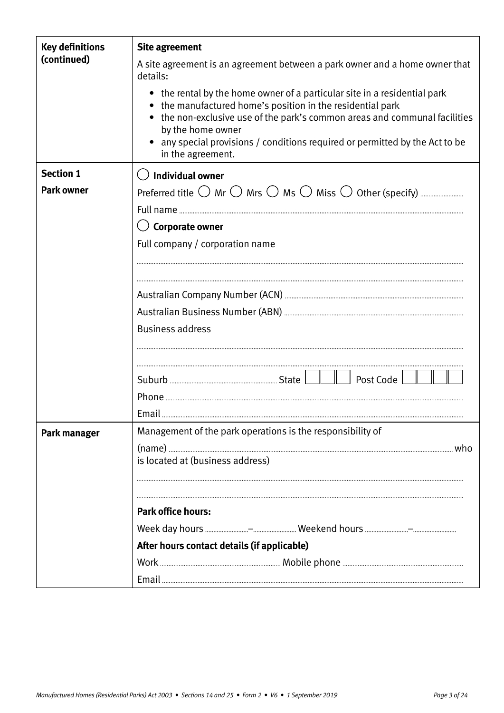| <b>Key definitions</b><br>(continued) | <b>Site agreement</b>                                                                                                                                                                                                                                                                                                                         |  |  |
|---------------------------------------|-----------------------------------------------------------------------------------------------------------------------------------------------------------------------------------------------------------------------------------------------------------------------------------------------------------------------------------------------|--|--|
|                                       | A site agreement is an agreement between a park owner and a home owner that<br>details:                                                                                                                                                                                                                                                       |  |  |
|                                       | • the rental by the home owner of a particular site in a residential park<br>• the manufactured home's position in the residential park<br>• the non-exclusive use of the park's common areas and communal facilities<br>by the home owner<br>any special provisions / conditions required or permitted by the Act to be<br>in the agreement. |  |  |
| <b>Section 1</b>                      | $\bigcirc$ Individual owner                                                                                                                                                                                                                                                                                                                   |  |  |
| <b>Park owner</b>                     |                                                                                                                                                                                                                                                                                                                                               |  |  |
|                                       |                                                                                                                                                                                                                                                                                                                                               |  |  |
|                                       | <b>Corporate owner</b>                                                                                                                                                                                                                                                                                                                        |  |  |
|                                       | Full company / corporation name                                                                                                                                                                                                                                                                                                               |  |  |
|                                       |                                                                                                                                                                                                                                                                                                                                               |  |  |
|                                       |                                                                                                                                                                                                                                                                                                                                               |  |  |
|                                       |                                                                                                                                                                                                                                                                                                                                               |  |  |
|                                       |                                                                                                                                                                                                                                                                                                                                               |  |  |
|                                       | <b>Business address</b>                                                                                                                                                                                                                                                                                                                       |  |  |
|                                       |                                                                                                                                                                                                                                                                                                                                               |  |  |
|                                       | Post Code                                                                                                                                                                                                                                                                                                                                     |  |  |
|                                       | Phone                                                                                                                                                                                                                                                                                                                                         |  |  |
|                                       | Email                                                                                                                                                                                                                                                                                                                                         |  |  |
| Park manager                          | Management of the park operations is the responsibility of                                                                                                                                                                                                                                                                                    |  |  |
|                                       | is located at (business address)                                                                                                                                                                                                                                                                                                              |  |  |
|                                       |                                                                                                                                                                                                                                                                                                                                               |  |  |
|                                       |                                                                                                                                                                                                                                                                                                                                               |  |  |
|                                       | <b>Park office hours:</b>                                                                                                                                                                                                                                                                                                                     |  |  |
|                                       |                                                                                                                                                                                                                                                                                                                                               |  |  |
|                                       | After hours contact details (if applicable)                                                                                                                                                                                                                                                                                                   |  |  |
|                                       |                                                                                                                                                                                                                                                                                                                                               |  |  |
|                                       |                                                                                                                                                                                                                                                                                                                                               |  |  |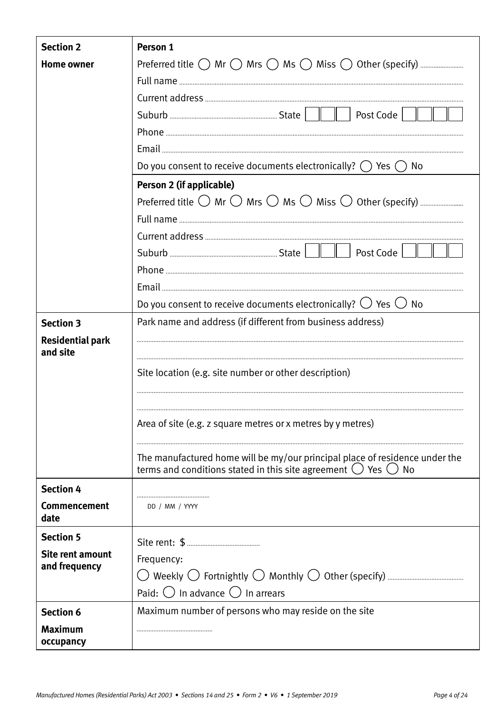| <b>Section 2</b>            | Person 1                                                                         |
|-----------------------------|----------------------------------------------------------------------------------|
| <b>Home owner</b>           |                                                                                  |
|                             |                                                                                  |
|                             |                                                                                  |
|                             | $\parallel$ $\parallel$   Post Code                                              |
|                             |                                                                                  |
|                             |                                                                                  |
|                             | Do you consent to receive documents electronically? $\bigcirc$ Yes $\bigcirc$ No |
|                             | Person 2 (if applicable)                                                         |
|                             |                                                                                  |
|                             |                                                                                  |
|                             |                                                                                  |
|                             | Post Code                                                                        |
|                             |                                                                                  |
|                             |                                                                                  |
|                             | Do you consent to receive documents electronically? $\bigcirc$ Yes $\bigcirc$ No |
| <b>Section 3</b>            | Park name and address (if different from business address)                       |
| <b>Residential park</b>     |                                                                                  |
| and site                    |                                                                                  |
|                             | Site location (e.g. site number or other description)                            |
|                             |                                                                                  |
|                             |                                                                                  |
|                             | Area of site (e.g. z square metres or x metres by y metres)                      |
|                             |                                                                                  |
|                             | The manufactured home will be my/our principal place of residence under the      |
|                             | terms and conditions stated in this site agreement $\bigcirc$ Yes $\bigcirc$ No  |
| <b>Section 4</b>            |                                                                                  |
| <b>Commencement</b><br>date | DD / MM / YYYY                                                                   |
| <b>Section 5</b>            |                                                                                  |
| <b>Site rent amount</b>     | Frequency:                                                                       |
| and frequency               |                                                                                  |
|                             | Paid: $\bigcirc$ In advance $\bigcirc$ In arrears                                |
| <b>Section 6</b>            | Maximum number of persons who may reside on the site                             |
| <b>Maximum</b>              |                                                                                  |
| occupancy                   |                                                                                  |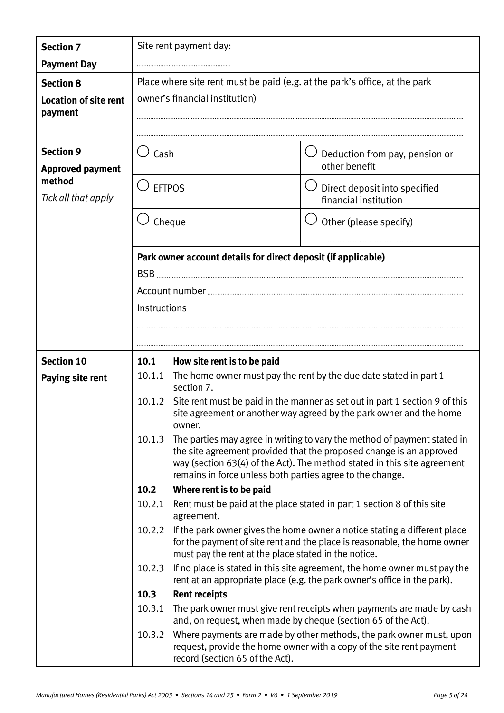| <b>Section 7</b>                            |                                                                            | Site rent payment day:                                        |                                                                                                                                                                                                                             |
|---------------------------------------------|----------------------------------------------------------------------------|---------------------------------------------------------------|-----------------------------------------------------------------------------------------------------------------------------------------------------------------------------------------------------------------------------|
| <b>Payment Day</b>                          |                                                                            |                                                               |                                                                                                                                                                                                                             |
| <b>Section 8</b>                            | Place where site rent must be paid (e.g. at the park's office, at the park |                                                               |                                                                                                                                                                                                                             |
| <b>Location of site rent</b><br>payment     |                                                                            | owner's financial institution)                                |                                                                                                                                                                                                                             |
|                                             |                                                                            |                                                               |                                                                                                                                                                                                                             |
| <b>Section 9</b><br><b>Approved payment</b> | Cash                                                                       |                                                               | Deduction from pay, pension or<br>other benefit                                                                                                                                                                             |
| method<br>Tick all that apply               |                                                                            | <b>EFTPOS</b>                                                 | Direct deposit into specified<br>financial institution                                                                                                                                                                      |
|                                             |                                                                            | Cheque                                                        | Other (please specify)                                                                                                                                                                                                      |
|                                             |                                                                            | Park owner account details for direct deposit (if applicable) |                                                                                                                                                                                                                             |
|                                             | $BSB$                                                                      |                                                               |                                                                                                                                                                                                                             |
|                                             |                                                                            |                                                               |                                                                                                                                                                                                                             |
|                                             | Instructions                                                               |                                                               |                                                                                                                                                                                                                             |
|                                             |                                                                            |                                                               |                                                                                                                                                                                                                             |
| <b>Section 10</b>                           | 10.1                                                                       | How site rent is to be paid                                   |                                                                                                                                                                                                                             |
| Paying site rent                            | 10.1.1                                                                     | section 7.                                                    | The home owner must pay the rent by the due date stated in part 1                                                                                                                                                           |
|                                             | 10.1.2                                                                     | owner.                                                        | Site rent must be paid in the manner as set out in part 1 section 9 of this<br>site agreement or another way agreed by the park owner and the home                                                                          |
|                                             | 10.1.3                                                                     | remains in force unless both parties agree to the change.     | The parties may agree in writing to vary the method of payment stated in<br>the site agreement provided that the proposed change is an approved<br>way (section 63(4) of the Act). The method stated in this site agreement |
|                                             | 10.2                                                                       | Where rent is to be paid                                      |                                                                                                                                                                                                                             |
|                                             | 10.2.1                                                                     | agreement.                                                    | Rent must be paid at the place stated in part 1 section 8 of this site                                                                                                                                                      |
|                                             | 10.2.2                                                                     | must pay the rent at the place stated in the notice.          | If the park owner gives the home owner a notice stating a different place<br>for the payment of site rent and the place is reasonable, the home owner                                                                       |
|                                             | 10.2.3                                                                     |                                                               | If no place is stated in this site agreement, the home owner must pay the<br>rent at an appropriate place (e.g. the park owner's office in the park).                                                                       |
|                                             | 10.3                                                                       | <b>Rent receipts</b>                                          |                                                                                                                                                                                                                             |
|                                             | 10.3.1                                                                     |                                                               | The park owner must give rent receipts when payments are made by cash<br>and, on request, when made by cheque (section 65 of the Act).                                                                                      |
|                                             | 10.3.2                                                                     | record (section 65 of the Act).                               | Where payments are made by other methods, the park owner must, upon<br>request, provide the home owner with a copy of the site rent payment                                                                                 |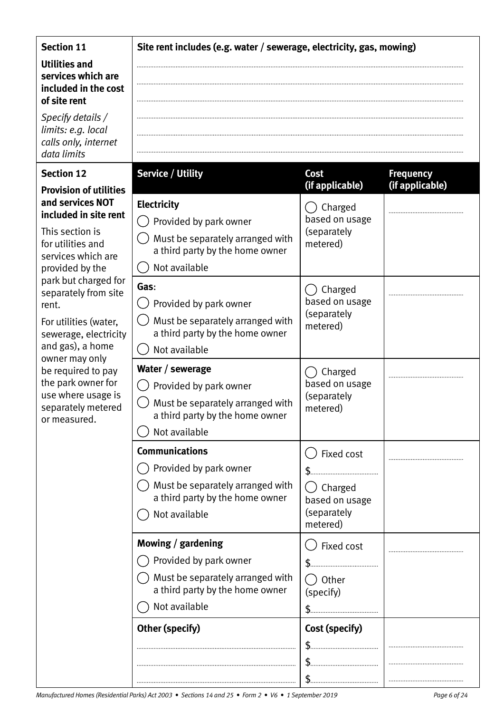## **Section 11**

**Utilities and services which are included in the cost of site rent**

*Specify details / limits: e.g. local calls only, internet data limits*

## **Section 12**

## **Provision of utilities and services NOT included in site rent**

| This section is      |
|----------------------|
| for utilities and    |
| services which are   |
| provided by the      |
| park but charged for |
| separately from site |
| rent.                |
|                      |

For utilities (water, sewerage, electricity and gas), a home owner may only be required to pay the park owner for use where usage is separately metered or measured.

## **Site rent includes (e.g. water / sewerage, electricity, gas, mowing)**

#### Service / Utility **Cost Frequency (if applicable) (if applicable) Electricity** () Charged based on usage  $( )$  Provided by park owner (separately  $\overline{y}$  Must be separately arranged with metered) a third party by the home owner Not available **Gas**:  $\bigcap$  Charged based on usage  $\bigcirc$  Provided by park owner (separately  $\overline{y}$  Must be separately arranged with metered) a third party by the home owner () Not available **Water / sewerage**  $\bigcap$  Charged based on usage  $( )$  Provided by park owner (separately  $\overline{y}$  Must be separately arranged with metered) a third party by the home owner () Not available

◯ Fixed cost

() Charged based on usage (separately metered)

 $\bigcap$  Fixed cost

 $\bigcap$  Other (specify)

\$

\$

 $\uparrow$ 

\$

\$

\$

*Manufactured Homes (Residential Parks) Act 2003 • Sections 14 and 25 • Form 2 • V6 • 1 September 2019 Page 6 of 24*

**Communications** 

Not available

**Mowing / gardening**

 $\bigcap$  Not available

 $\bigcap$  Provided by park owner

 $\bigcap$  Provided by park owner

 Must be separately arranged with a third party by the home owner

 $\bigcap$  Must be separately arranged with a third party by the home owner

**Other (specify) Cost (specify)** 

.................................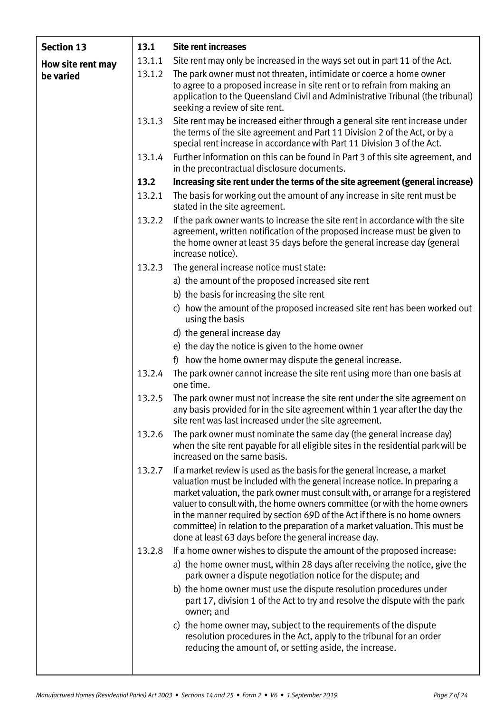| <b>Section 13</b> | 13.1   | <b>Site rent increases</b>                                                                                                                                                                                                                                                                                                                                                                                                                                                                                                                           |
|-------------------|--------|------------------------------------------------------------------------------------------------------------------------------------------------------------------------------------------------------------------------------------------------------------------------------------------------------------------------------------------------------------------------------------------------------------------------------------------------------------------------------------------------------------------------------------------------------|
| How site rent may | 13.1.1 | Site rent may only be increased in the ways set out in part 11 of the Act.                                                                                                                                                                                                                                                                                                                                                                                                                                                                           |
| be varied         | 13.1.2 | The park owner must not threaten, intimidate or coerce a home owner<br>to agree to a proposed increase in site rent or to refrain from making an<br>application to the Queensland Civil and Administrative Tribunal (the tribunal)<br>seeking a review of site rent.                                                                                                                                                                                                                                                                                 |
|                   | 13.1.3 | Site rent may be increased either through a general site rent increase under<br>the terms of the site agreement and Part 11 Division 2 of the Act, or by a<br>special rent increase in accordance with Part 11 Division 3 of the Act.                                                                                                                                                                                                                                                                                                                |
|                   | 13.1.4 | Further information on this can be found in Part 3 of this site agreement, and<br>in the precontractual disclosure documents.                                                                                                                                                                                                                                                                                                                                                                                                                        |
|                   | 13.2   | Increasing site rent under the terms of the site agreement (general increase)                                                                                                                                                                                                                                                                                                                                                                                                                                                                        |
|                   | 13.2.1 | The basis for working out the amount of any increase in site rent must be<br>stated in the site agreement.                                                                                                                                                                                                                                                                                                                                                                                                                                           |
|                   | 13.2.2 | If the park owner wants to increase the site rent in accordance with the site<br>agreement, written notification of the proposed increase must be given to<br>the home owner at least 35 days before the general increase day (general<br>increase notice).                                                                                                                                                                                                                                                                                          |
|                   | 13.2.3 | The general increase notice must state:                                                                                                                                                                                                                                                                                                                                                                                                                                                                                                              |
|                   |        | a) the amount of the proposed increased site rent                                                                                                                                                                                                                                                                                                                                                                                                                                                                                                    |
|                   |        | b) the basis for increasing the site rent                                                                                                                                                                                                                                                                                                                                                                                                                                                                                                            |
|                   |        | c) how the amount of the proposed increased site rent has been worked out<br>using the basis                                                                                                                                                                                                                                                                                                                                                                                                                                                         |
|                   |        | d) the general increase day                                                                                                                                                                                                                                                                                                                                                                                                                                                                                                                          |
|                   |        | e) the day the notice is given to the home owner                                                                                                                                                                                                                                                                                                                                                                                                                                                                                                     |
|                   |        | f) how the home owner may dispute the general increase.                                                                                                                                                                                                                                                                                                                                                                                                                                                                                              |
|                   | 13.2.4 | The park owner cannot increase the site rent using more than one basis at<br>one time.                                                                                                                                                                                                                                                                                                                                                                                                                                                               |
|                   | 13.2.5 | The park owner must not increase the site rent under the site agreement on<br>any basis provided for in the site agreement within 1 year after the day the<br>site rent was last increased under the site agreement.                                                                                                                                                                                                                                                                                                                                 |
|                   | 13.2.6 | The park owner must nominate the same day (the general increase day)<br>when the site rent payable for all eligible sites in the residential park will be<br>increased on the same basis.                                                                                                                                                                                                                                                                                                                                                            |
|                   | 13.2.7 | If a market review is used as the basis for the general increase, a market<br>valuation must be included with the general increase notice. In preparing a<br>market valuation, the park owner must consult with, or arrange for a registered<br>valuer to consult with, the home owners committee (or with the home owners<br>in the manner required by section 69D of the Act if there is no home owners<br>committee) in relation to the preparation of a market valuation. This must be<br>done at least 63 days before the general increase day. |
|                   | 13.2.8 | If a home owner wishes to dispute the amount of the proposed increase:                                                                                                                                                                                                                                                                                                                                                                                                                                                                               |
|                   |        | a) the home owner must, within 28 days after receiving the notice, give the<br>park owner a dispute negotiation notice for the dispute; and                                                                                                                                                                                                                                                                                                                                                                                                          |
|                   |        | b) the home owner must use the dispute resolution procedures under<br>part 17, division 1 of the Act to try and resolve the dispute with the park<br>owner; and                                                                                                                                                                                                                                                                                                                                                                                      |
|                   |        | c) the home owner may, subject to the requirements of the dispute<br>resolution procedures in the Act, apply to the tribunal for an order<br>reducing the amount of, or setting aside, the increase.                                                                                                                                                                                                                                                                                                                                                 |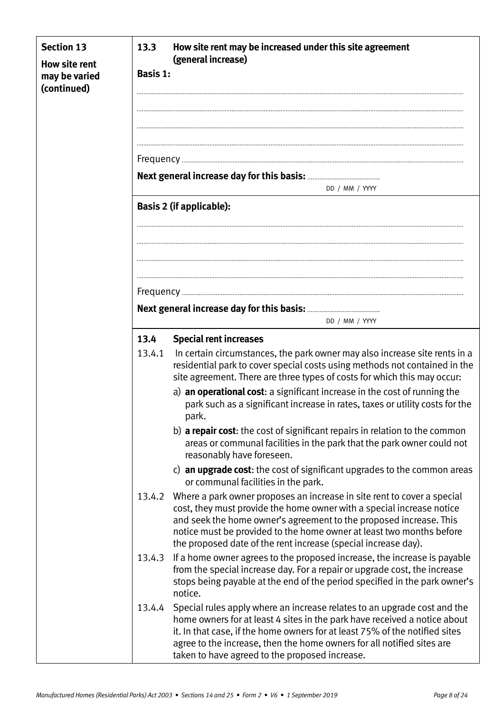| <b>Section 13</b><br><b>How site rent</b><br>may be varied<br>(continued) | 13.3<br><b>Basis 1:</b> | How site rent may be increased under this site agreement<br>(general increase)                                                                                                                                                                                                                                                                                          |
|---------------------------------------------------------------------------|-------------------------|-------------------------------------------------------------------------------------------------------------------------------------------------------------------------------------------------------------------------------------------------------------------------------------------------------------------------------------------------------------------------|
|                                                                           |                         | DD / MM / YYYY                                                                                                                                                                                                                                                                                                                                                          |
|                                                                           |                         | <b>Basis 2 (if applicable):</b>                                                                                                                                                                                                                                                                                                                                         |
|                                                                           |                         |                                                                                                                                                                                                                                                                                                                                                                         |
|                                                                           |                         |                                                                                                                                                                                                                                                                                                                                                                         |
|                                                                           |                         | DD / MM / YYYY                                                                                                                                                                                                                                                                                                                                                          |
|                                                                           | 13.4                    | <b>Special rent increases</b>                                                                                                                                                                                                                                                                                                                                           |
|                                                                           | 13.4.1                  | In certain circumstances, the park owner may also increase site rents in a<br>residential park to cover special costs using methods not contained in the<br>site agreement. There are three types of costs for which this may occur:                                                                                                                                    |
|                                                                           |                         | a) an operational cost: a significant increase in the cost of running the<br>park such as a significant increase in rates, taxes or utility costs for the<br>park.                                                                                                                                                                                                      |
|                                                                           |                         | b) <b>a repair cost</b> : the cost of significant repairs in relation to the common<br>areas or communal facilities in the park that the park owner could not<br>reasonably have foreseen.                                                                                                                                                                              |
|                                                                           |                         | c) an upgrade cost: the cost of significant upgrades to the common areas<br>or communal facilities in the park.                                                                                                                                                                                                                                                         |
|                                                                           |                         | 13.4.2 Where a park owner proposes an increase in site rent to cover a special<br>cost, they must provide the home owner with a special increase notice<br>and seek the home owner's agreement to the proposed increase. This<br>notice must be provided to the home owner at least two months before<br>the proposed date of the rent increase (special increase day). |
|                                                                           | 13.4.3                  | If a home owner agrees to the proposed increase, the increase is payable<br>from the special increase day. For a repair or upgrade cost, the increase<br>stops being payable at the end of the period specified in the park owner's<br>notice.                                                                                                                          |
|                                                                           | 13.4.4                  | Special rules apply where an increase relates to an upgrade cost and the<br>home owners for at least 4 sites in the park have received a notice about<br>it. In that case, if the home owners for at least 75% of the notified sites<br>agree to the increase, then the home owners for all notified sites are<br>taken to have agreed to the proposed increase.        |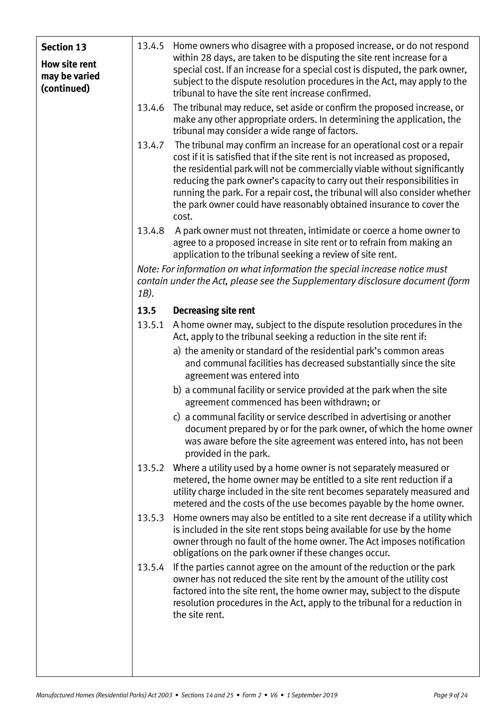| <b>Section 13</b><br><b>How site rent</b><br>may be varied | 13.4.5 | Home owners who disagree with a proposed increase, or do not respond<br>within 28 days, are taken to be disputing the site rent increase for a<br>special cost. If an increase for a special cost is disputed, the park owner,                                                                                                                                                                                                                                                      |
|------------------------------------------------------------|--------|-------------------------------------------------------------------------------------------------------------------------------------------------------------------------------------------------------------------------------------------------------------------------------------------------------------------------------------------------------------------------------------------------------------------------------------------------------------------------------------|
| (continued)                                                |        | subject to the dispute resolution procedures in the Act, may apply to the<br>tribunal to have the site rent increase confirmed.                                                                                                                                                                                                                                                                                                                                                     |
|                                                            | 13.4.6 | The tribunal may reduce, set aside or confirm the proposed increase, or<br>make any other appropriate orders. In determining the application, the<br>tribunal may consider a wide range of factors.                                                                                                                                                                                                                                                                                 |
|                                                            | 13.4.7 | The tribunal may confirm an increase for an operational cost or a repair<br>cost if it is satisfied that if the site rent is not increased as proposed,<br>the residential park will not be commercially viable without significantly<br>reducing the park owner's capacity to carry out their responsibilities in<br>running the park. For a repair cost, the tribunal will also consider whether<br>the park owner could have reasonably obtained insurance to cover the<br>cost. |
|                                                            | 13.4.8 | A park owner must not threaten, intimidate or coerce a home owner to<br>agree to a proposed increase in site rent or to refrain from making an<br>application to the tribunal seeking a review of site rent.                                                                                                                                                                                                                                                                        |
|                                                            | 1B).   | Note: For information on what information the special increase notice must<br>contain under the Act, please see the Supplementary disclosure document (form                                                                                                                                                                                                                                                                                                                         |
|                                                            | 13.5   | <b>Decreasing site rent</b>                                                                                                                                                                                                                                                                                                                                                                                                                                                         |
|                                                            | 13.5.1 | A home owner may, subject to the dispute resolution procedures in the<br>Act, apply to the tribunal seeking a reduction in the site rent if:                                                                                                                                                                                                                                                                                                                                        |
|                                                            |        | a) the amenity or standard of the residential park's common areas<br>and communal facilities has decreased substantially since the site<br>agreement was entered into                                                                                                                                                                                                                                                                                                               |
|                                                            |        | b) a communal facility or service provided at the park when the site<br>agreement commenced has been withdrawn; or                                                                                                                                                                                                                                                                                                                                                                  |
|                                                            |        | c) a communal facility or service described in advertising or another<br>document prepared by or for the park owner, of which the home owner<br>was aware before the site agreement was entered into, has not been<br>provided in the park.                                                                                                                                                                                                                                         |
|                                                            | 13.5.2 | Where a utility used by a home owner is not separately measured or<br>metered, the home owner may be entitled to a site rent reduction if a<br>utility charge included in the site rent becomes separately measured and<br>metered and the costs of the use becomes payable by the home owner.                                                                                                                                                                                      |
|                                                            | 13.5.3 | Home owners may also be entitled to a site rent decrease if a utility which<br>is included in the site rent stops being available for use by the home<br>owner through no fault of the home owner. The Act imposes notification<br>obligations on the park owner if these changes occur.                                                                                                                                                                                            |
|                                                            | 13.5.4 | If the parties cannot agree on the amount of the reduction or the park<br>owner has not reduced the site rent by the amount of the utility cost<br>factored into the site rent, the home owner may, subject to the dispute<br>resolution procedures in the Act, apply to the tribunal for a reduction in<br>the site rent.                                                                                                                                                          |
|                                                            |        |                                                                                                                                                                                                                                                                                                                                                                                                                                                                                     |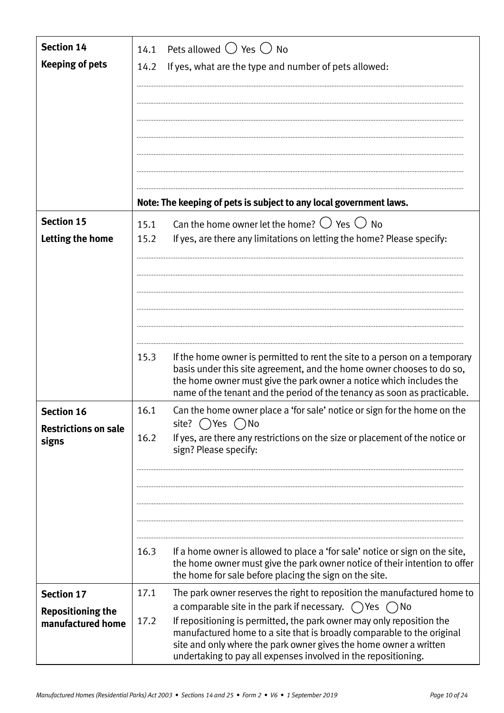| <b>Section 14</b>           | 14.1 | Pets allowed $\bigcirc$ Yes $\bigcirc$ No                                                                                                                                                                                                                                                              |
|-----------------------------|------|--------------------------------------------------------------------------------------------------------------------------------------------------------------------------------------------------------------------------------------------------------------------------------------------------------|
| <b>Keeping of pets</b>      | 14.2 | If yes, what are the type and number of pets allowed:                                                                                                                                                                                                                                                  |
|                             |      |                                                                                                                                                                                                                                                                                                        |
|                             |      |                                                                                                                                                                                                                                                                                                        |
|                             |      |                                                                                                                                                                                                                                                                                                        |
|                             |      |                                                                                                                                                                                                                                                                                                        |
|                             |      |                                                                                                                                                                                                                                                                                                        |
|                             |      |                                                                                                                                                                                                                                                                                                        |
|                             |      | Note: The keeping of pets is subject to any local government laws.                                                                                                                                                                                                                                     |
| <b>Section 15</b>           | 15.1 | Can the home owner let the home? $\bigcirc$ Yes $\bigcirc$ No                                                                                                                                                                                                                                          |
| Letting the home            | 15.2 | If yes, are there any limitations on letting the home? Please specify:                                                                                                                                                                                                                                 |
|                             |      |                                                                                                                                                                                                                                                                                                        |
|                             |      |                                                                                                                                                                                                                                                                                                        |
|                             |      |                                                                                                                                                                                                                                                                                                        |
|                             |      |                                                                                                                                                                                                                                                                                                        |
|                             |      |                                                                                                                                                                                                                                                                                                        |
|                             | 15.3 | If the home owner is permitted to rent the site to a person on a temporary<br>basis under this site agreement, and the home owner chooses to do so,<br>the home owner must give the park owner a notice which includes the<br>name of the tenant and the period of the tenancy as soon as practicable. |
| <b>Section 16</b>           | 16.1 | Can the home owner place a 'for sale' notice or sign for the home on the                                                                                                                                                                                                                               |
| <b>Restrictions on sale</b> |      | site? ()Yes ()No                                                                                                                                                                                                                                                                                       |
| signs                       | 16.2 | If yes, are there any restrictions on the size or placement of the notice or<br>sign? Please specify:                                                                                                                                                                                                  |
|                             |      |                                                                                                                                                                                                                                                                                                        |
|                             |      |                                                                                                                                                                                                                                                                                                        |
|                             |      |                                                                                                                                                                                                                                                                                                        |
|                             |      |                                                                                                                                                                                                                                                                                                        |
|                             | 16.3 | If a home owner is allowed to place a 'for sale' notice or sign on the site,<br>the home owner must give the park owner notice of their intention to offer<br>the home for sale before placing the sign on the site.                                                                                   |
| <b>Section 17</b>           | 17.1 | The park owner reserves the right to reposition the manufactured home to                                                                                                                                                                                                                               |
| <b>Repositioning the</b>    |      | a comparable site in the park if necessary. $\bigcirc$ Yes $\bigcirc$ No                                                                                                                                                                                                                               |
| manufactured home           | 17.2 | If repositioning is permitted, the park owner may only reposition the<br>manufactured home to a site that is broadly comparable to the original<br>site and only where the park owner gives the home owner a written<br>undertaking to pay all expenses involved in the repositioning.                 |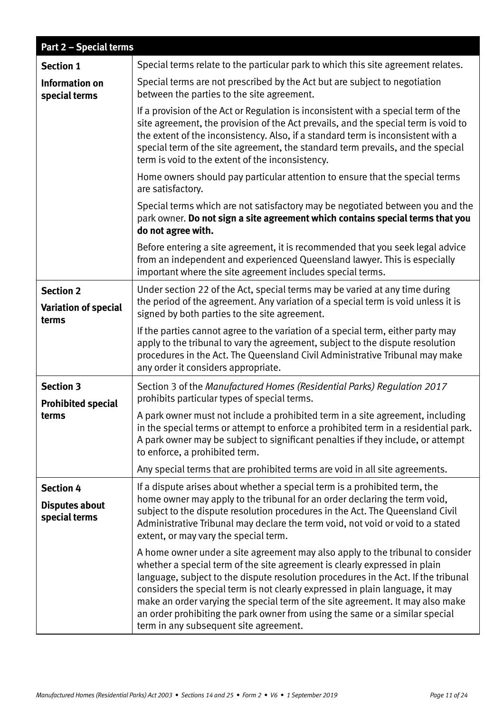| <b>Part 2 - Special terms</b>                              |                                                                                                                                                                                                                                                                                                                                                                                                                                                                                                                                                 |
|------------------------------------------------------------|-------------------------------------------------------------------------------------------------------------------------------------------------------------------------------------------------------------------------------------------------------------------------------------------------------------------------------------------------------------------------------------------------------------------------------------------------------------------------------------------------------------------------------------------------|
| <b>Section 1</b>                                           | Special terms relate to the particular park to which this site agreement relates.                                                                                                                                                                                                                                                                                                                                                                                                                                                               |
| <b>Information on</b><br>special terms                     | Special terms are not prescribed by the Act but are subject to negotiation<br>between the parties to the site agreement.                                                                                                                                                                                                                                                                                                                                                                                                                        |
|                                                            | If a provision of the Act or Regulation is inconsistent with a special term of the<br>site agreement, the provision of the Act prevails, and the special term is void to<br>the extent of the inconsistency. Also, if a standard term is inconsistent with a<br>special term of the site agreement, the standard term prevails, and the special<br>term is void to the extent of the inconsistency.                                                                                                                                             |
|                                                            | Home owners should pay particular attention to ensure that the special terms<br>are satisfactory.                                                                                                                                                                                                                                                                                                                                                                                                                                               |
|                                                            | Special terms which are not satisfactory may be negotiated between you and the<br>park owner. Do not sign a site agreement which contains special terms that you<br>do not agree with.                                                                                                                                                                                                                                                                                                                                                          |
|                                                            | Before entering a site agreement, it is recommended that you seek legal advice<br>from an independent and experienced Queensland lawyer. This is especially<br>important where the site agreement includes special terms.                                                                                                                                                                                                                                                                                                                       |
| <b>Section 2</b><br><b>Variation of special</b><br>terms   | Under section 22 of the Act, special terms may be varied at any time during<br>the period of the agreement. Any variation of a special term is void unless it is<br>signed by both parties to the site agreement.                                                                                                                                                                                                                                                                                                                               |
|                                                            | If the parties cannot agree to the variation of a special term, either party may<br>apply to the tribunal to vary the agreement, subject to the dispute resolution<br>procedures in the Act. The Queensland Civil Administrative Tribunal may make<br>any order it considers appropriate.                                                                                                                                                                                                                                                       |
| <b>Section 3</b><br><b>Prohibited special</b><br>terms     | Section 3 of the Manufactured Homes (Residential Parks) Regulation 2017<br>prohibits particular types of special terms.                                                                                                                                                                                                                                                                                                                                                                                                                         |
|                                                            | A park owner must not include a prohibited term in a site agreement, including<br>in the special terms or attempt to enforce a prohibited term in a residential park.<br>A park owner may be subject to significant penalties if they include, or attempt<br>to enforce, a prohibited term.                                                                                                                                                                                                                                                     |
|                                                            | Any special terms that are prohibited terms are void in all site agreements.                                                                                                                                                                                                                                                                                                                                                                                                                                                                    |
| <b>Section 4</b><br><b>Disputes about</b><br>special terms | If a dispute arises about whether a special term is a prohibited term, the<br>home owner may apply to the tribunal for an order declaring the term void,<br>subject to the dispute resolution procedures in the Act. The Queensland Civil<br>Administrative Tribunal may declare the term void, not void or void to a stated<br>extent, or may vary the special term.                                                                                                                                                                           |
|                                                            | A home owner under a site agreement may also apply to the tribunal to consider<br>whether a special term of the site agreement is clearly expressed in plain<br>language, subject to the dispute resolution procedures in the Act. If the tribunal<br>considers the special term is not clearly expressed in plain language, it may<br>make an order varying the special term of the site agreement. It may also make<br>an order prohibiting the park owner from using the same or a similar special<br>term in any subsequent site agreement. |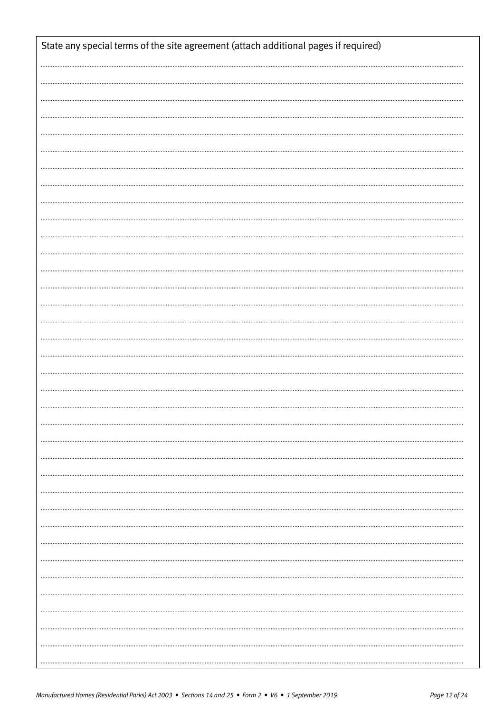| State any special terms of the site agreement (attach additional pages if required) |
|-------------------------------------------------------------------------------------|
|                                                                                     |
|                                                                                     |
|                                                                                     |
|                                                                                     |
|                                                                                     |
|                                                                                     |
|                                                                                     |
|                                                                                     |
|                                                                                     |
|                                                                                     |
|                                                                                     |
|                                                                                     |
|                                                                                     |
|                                                                                     |
|                                                                                     |
|                                                                                     |
|                                                                                     |
|                                                                                     |
|                                                                                     |
|                                                                                     |
|                                                                                     |
|                                                                                     |
|                                                                                     |
|                                                                                     |
|                                                                                     |
|                                                                                     |
|                                                                                     |
|                                                                                     |
|                                                                                     |
|                                                                                     |
|                                                                                     |
|                                                                                     |
|                                                                                     |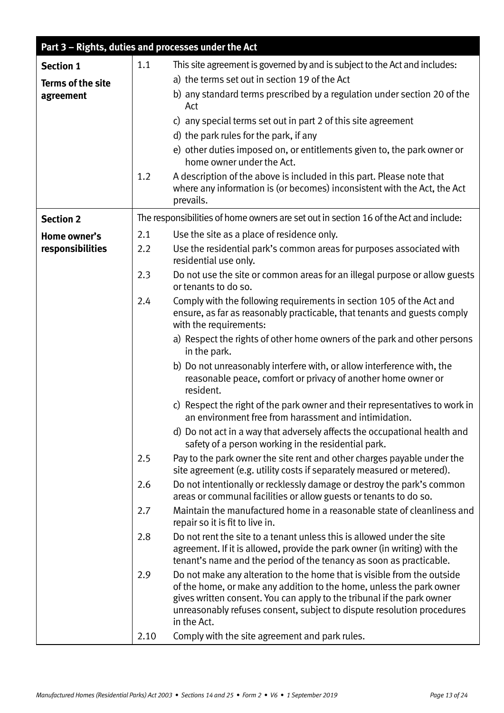| Part 3 - Rights, duties and processes under the Act |      |                                                                                                                                                                                                                                                                                                                    |
|-----------------------------------------------------|------|--------------------------------------------------------------------------------------------------------------------------------------------------------------------------------------------------------------------------------------------------------------------------------------------------------------------|
| <b>Section 1</b>                                    | 1.1  | This site agreement is governed by and is subject to the Act and includes:                                                                                                                                                                                                                                         |
| <b>Terms of the site</b>                            |      | a) the terms set out in section 19 of the Act                                                                                                                                                                                                                                                                      |
| agreement                                           |      | b) any standard terms prescribed by a regulation under section 20 of the<br>Act                                                                                                                                                                                                                                    |
|                                                     |      | c) any special terms set out in part 2 of this site agreement                                                                                                                                                                                                                                                      |
|                                                     |      | d) the park rules for the park, if any                                                                                                                                                                                                                                                                             |
|                                                     |      | e) other duties imposed on, or entitlements given to, the park owner or<br>home owner under the Act.                                                                                                                                                                                                               |
|                                                     | 1.2  | A description of the above is included in this part. Please note that<br>where any information is (or becomes) inconsistent with the Act, the Act<br>prevails.                                                                                                                                                     |
| <b>Section 2</b>                                    |      | The responsibilities of home owners are set out in section 16 of the Act and include:                                                                                                                                                                                                                              |
| Home owner's                                        | 2.1  | Use the site as a place of residence only.                                                                                                                                                                                                                                                                         |
| responsibilities                                    | 2.2  | Use the residential park's common areas for purposes associated with<br>residential use only.                                                                                                                                                                                                                      |
|                                                     | 2.3  | Do not use the site or common areas for an illegal purpose or allow guests<br>or tenants to do so.                                                                                                                                                                                                                 |
|                                                     | 2.4  | Comply with the following requirements in section 105 of the Act and<br>ensure, as far as reasonably practicable, that tenants and guests comply<br>with the requirements:                                                                                                                                         |
|                                                     |      | a) Respect the rights of other home owners of the park and other persons<br>in the park.                                                                                                                                                                                                                           |
|                                                     |      | b) Do not unreasonably interfere with, or allow interference with, the<br>reasonable peace, comfort or privacy of another home owner or<br>resident.                                                                                                                                                               |
|                                                     |      | c) Respect the right of the park owner and their representatives to work in<br>an environment free from harassment and intimidation.                                                                                                                                                                               |
|                                                     |      | d) Do not act in a way that adversely affects the occupational health and<br>safety of a person working in the residential park.                                                                                                                                                                                   |
|                                                     | 2.5  | Pay to the park owner the site rent and other charges payable under the<br>site agreement (e.g. utility costs if separately measured or metered).                                                                                                                                                                  |
|                                                     | 2.6  | Do not intentionally or recklessly damage or destroy the park's common<br>areas or communal facilities or allow guests or tenants to do so.                                                                                                                                                                        |
|                                                     | 2.7  | Maintain the manufactured home in a reasonable state of cleanliness and<br>repair so it is fit to live in.                                                                                                                                                                                                         |
|                                                     | 2.8  | Do not rent the site to a tenant unless this is allowed under the site<br>agreement. If it is allowed, provide the park owner (in writing) with the<br>tenant's name and the period of the tenancy as soon as practicable.                                                                                         |
|                                                     | 2.9  | Do not make any alteration to the home that is visible from the outside<br>of the home, or make any addition to the home, unless the park owner<br>gives written consent. You can apply to the tribunal if the park owner<br>unreasonably refuses consent, subject to dispute resolution procedures<br>in the Act. |
|                                                     | 2.10 | Comply with the site agreement and park rules.                                                                                                                                                                                                                                                                     |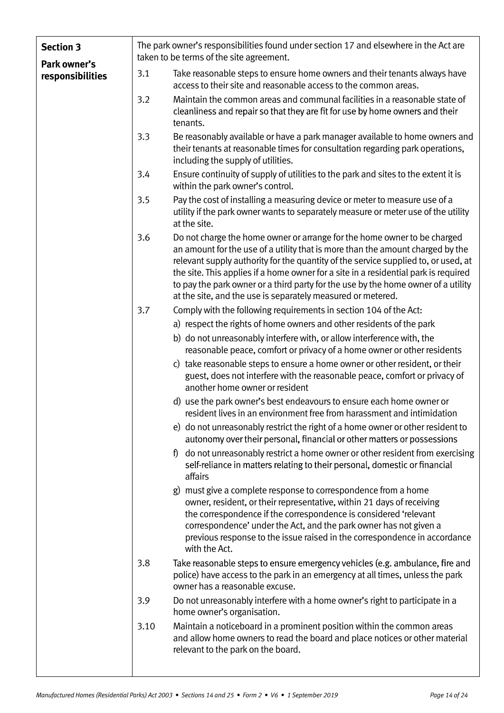| <b>Section 3</b><br>Park owner's |      | The park owner's responsibilities found under section 17 and elsewhere in the Act are<br>taken to be terms of the site agreement.                                                                                                                                                                                                                                                                                                                                                           |  |  |
|----------------------------------|------|---------------------------------------------------------------------------------------------------------------------------------------------------------------------------------------------------------------------------------------------------------------------------------------------------------------------------------------------------------------------------------------------------------------------------------------------------------------------------------------------|--|--|
| responsibilities                 | 3.1  | Take reasonable steps to ensure home owners and their tenants always have<br>access to their site and reasonable access to the common areas.                                                                                                                                                                                                                                                                                                                                                |  |  |
|                                  | 3.2  | Maintain the common areas and communal facilities in a reasonable state of<br>cleanliness and repair so that they are fit for use by home owners and their<br>tenants.                                                                                                                                                                                                                                                                                                                      |  |  |
|                                  | 3.3  | Be reasonably available or have a park manager available to home owners and<br>their tenants at reasonable times for consultation regarding park operations,<br>including the supply of utilities.                                                                                                                                                                                                                                                                                          |  |  |
|                                  | 3.4  | Ensure continuity of supply of utilities to the park and sites to the extent it is<br>within the park owner's control.                                                                                                                                                                                                                                                                                                                                                                      |  |  |
|                                  | 3.5  | Pay the cost of installing a measuring device or meter to measure use of a<br>utility if the park owner wants to separately measure or meter use of the utility<br>at the site.                                                                                                                                                                                                                                                                                                             |  |  |
|                                  | 3.6  | Do not charge the home owner or arrange for the home owner to be charged<br>an amount for the use of a utility that is more than the amount charged by the<br>relevant supply authority for the quantity of the service supplied to, or used, at<br>the site. This applies if a home owner for a site in a residential park is required<br>to pay the park owner or a third party for the use by the home owner of a utility<br>at the site, and the use is separately measured or metered. |  |  |
|                                  | 3.7  | Comply with the following requirements in section 104 of the Act:                                                                                                                                                                                                                                                                                                                                                                                                                           |  |  |
|                                  |      | a) respect the rights of home owners and other residents of the park                                                                                                                                                                                                                                                                                                                                                                                                                        |  |  |
|                                  |      | b) do not unreasonably interfere with, or allow interference with, the<br>reasonable peace, comfort or privacy of a home owner or other residents                                                                                                                                                                                                                                                                                                                                           |  |  |
|                                  |      | c) take reasonable steps to ensure a home owner or other resident, or their<br>guest, does not interfere with the reasonable peace, comfort or privacy of<br>another home owner or resident                                                                                                                                                                                                                                                                                                 |  |  |
|                                  |      | d) use the park owner's best endeavours to ensure each home owner or<br>resident lives in an environment free from harassment and intimidation                                                                                                                                                                                                                                                                                                                                              |  |  |
|                                  |      | e) do not unreasonably restrict the right of a home owner or other resident to<br>autonomy over their personal, financial or other matters or possessions                                                                                                                                                                                                                                                                                                                                   |  |  |
|                                  |      | do not unreasonably restrict a home owner or other resident from exercising<br>f)<br>self-reliance in matters relating to their personal, domestic or financial<br>affairs                                                                                                                                                                                                                                                                                                                  |  |  |
|                                  |      | g) must give a complete response to correspondence from a home<br>owner, resident, or their representative, within 21 days of receiving<br>the correspondence if the correspondence is considered 'relevant<br>correspondence' under the Act, and the park owner has not given a<br>previous response to the issue raised in the correspondence in accordance<br>with the Act.                                                                                                              |  |  |
|                                  | 3.8  | Take reasonable steps to ensure emergency vehicles (e.g. ambulance, fire and<br>police) have access to the park in an emergency at all times, unless the park<br>owner has a reasonable excuse.                                                                                                                                                                                                                                                                                             |  |  |
|                                  | 3.9  | Do not unreasonably interfere with a home owner's right to participate in a<br>home owner's organisation.                                                                                                                                                                                                                                                                                                                                                                                   |  |  |
|                                  | 3.10 | Maintain a noticeboard in a prominent position within the common areas<br>and allow home owners to read the board and place notices or other material<br>relevant to the park on the board.                                                                                                                                                                                                                                                                                                 |  |  |
|                                  |      |                                                                                                                                                                                                                                                                                                                                                                                                                                                                                             |  |  |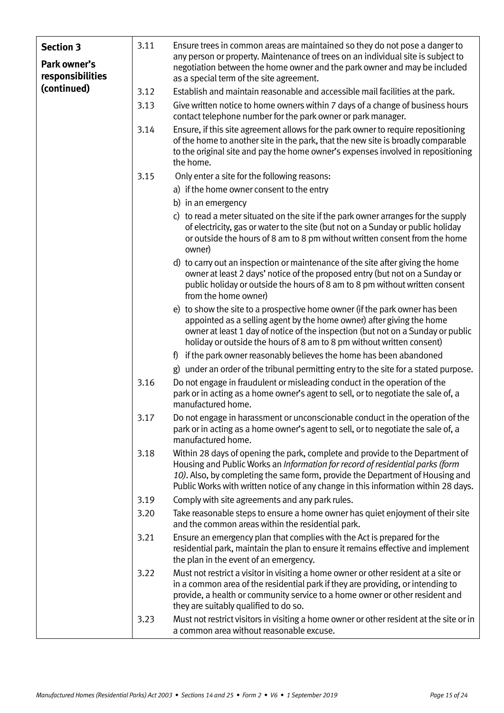| <b>Section 3</b><br>Park owner's<br>responsibilities | 3.11 | Ensure trees in common areas are maintained so they do not pose a danger to<br>any person or property. Maintenance of trees on an individual site is subject to<br>negotiation between the home owner and the park owner and may be included<br>as a special term of the site agreement.                                              |
|------------------------------------------------------|------|---------------------------------------------------------------------------------------------------------------------------------------------------------------------------------------------------------------------------------------------------------------------------------------------------------------------------------------|
| (continued)                                          | 3.12 | Establish and maintain reasonable and accessible mail facilities at the park.                                                                                                                                                                                                                                                         |
|                                                      | 3.13 | Give written notice to home owners within 7 days of a change of business hours<br>contact telephone number for the park owner or park manager.                                                                                                                                                                                        |
|                                                      | 3.14 | Ensure, if this site agreement allows for the park owner to require repositioning<br>of the home to another site in the park, that the new site is broadly comparable<br>to the original site and pay the home owner's expenses involved in repositioning<br>the home.                                                                |
|                                                      | 3.15 | Only enter a site for the following reasons:                                                                                                                                                                                                                                                                                          |
|                                                      |      | a) if the home owner consent to the entry                                                                                                                                                                                                                                                                                             |
|                                                      |      | b) in an emergency                                                                                                                                                                                                                                                                                                                    |
|                                                      |      | c) to read a meter situated on the site if the park owner arranges for the supply<br>of electricity, gas or water to the site (but not on a Sunday or public holiday<br>or outside the hours of 8 am to 8 pm without written consent from the home<br>owner)                                                                          |
|                                                      |      | d) to carry out an inspection or maintenance of the site after giving the home<br>owner at least 2 days' notice of the proposed entry (but not on a Sunday or<br>public holiday or outside the hours of 8 am to 8 pm without written consent<br>from the home owner)                                                                  |
|                                                      |      | e) to show the site to a prospective home owner (if the park owner has been<br>appointed as a selling agent by the home owner) after giving the home<br>owner at least 1 day of notice of the inspection (but not on a Sunday or public<br>holiday or outside the hours of 8 am to 8 pm without written consent)                      |
|                                                      |      | f) if the park owner reasonably believes the home has been abandoned                                                                                                                                                                                                                                                                  |
|                                                      |      | g) under an order of the tribunal permitting entry to the site for a stated purpose.                                                                                                                                                                                                                                                  |
|                                                      | 3.16 | Do not engage in fraudulent or misleading conduct in the operation of the<br>park or in acting as a home owner's agent to sell, or to negotiate the sale of, a<br>manufactured home.                                                                                                                                                  |
|                                                      | 3.17 | Do not engage in harassment or unconscionable conduct in the operation of the<br>park or in acting as a home owner's agent to sell, or to negotiate the sale of, a<br>manufactured home.                                                                                                                                              |
|                                                      | 3.18 | Within 28 days of opening the park, complete and provide to the Department of<br>Housing and Public Works an Information for record of residential parks (form<br>10). Also, by completing the same form, provide the Department of Housing and<br>Public Works with written notice of any change in this information within 28 days. |
|                                                      | 3.19 | Comply with site agreements and any park rules.                                                                                                                                                                                                                                                                                       |
|                                                      | 3.20 | Take reasonable steps to ensure a home owner has quiet enjoyment of their site<br>and the common areas within the residential park.                                                                                                                                                                                                   |
|                                                      | 3.21 | Ensure an emergency plan that complies with the Act is prepared for the<br>residential park, maintain the plan to ensure it remains effective and implement<br>the plan in the event of an emergency.                                                                                                                                 |
|                                                      | 3.22 | Must not restrict a visitor in visiting a home owner or other resident at a site or<br>in a common area of the residential park if they are providing, or intending to<br>provide, a health or community service to a home owner or other resident and<br>they are suitably qualified to do so.                                       |
|                                                      | 3.23 | Must not restrict visitors in visiting a home owner or other resident at the site or in<br>a common area without reasonable excuse.                                                                                                                                                                                                   |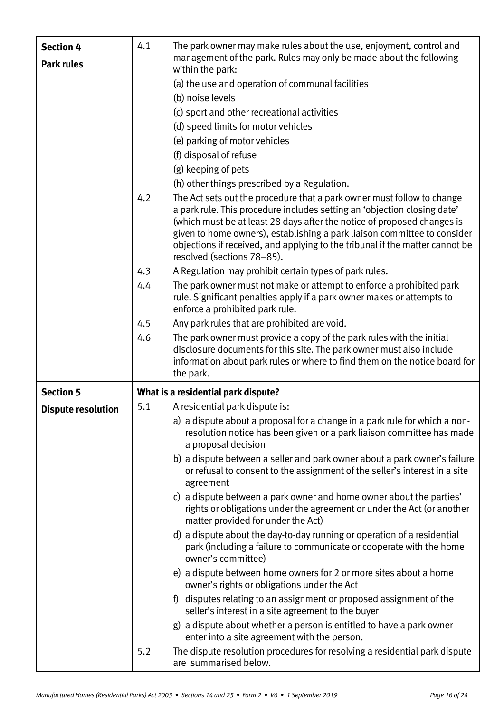| <b>Section 4</b>          | 4.1 | The park owner may make rules about the use, enjoyment, control and                                                                                                                                                                                                                                                                                                                                                     |
|---------------------------|-----|-------------------------------------------------------------------------------------------------------------------------------------------------------------------------------------------------------------------------------------------------------------------------------------------------------------------------------------------------------------------------------------------------------------------------|
| <b>Park rules</b>         |     | management of the park. Rules may only be made about the following<br>within the park:                                                                                                                                                                                                                                                                                                                                  |
|                           |     | (a) the use and operation of communal facilities                                                                                                                                                                                                                                                                                                                                                                        |
|                           |     | (b) noise levels                                                                                                                                                                                                                                                                                                                                                                                                        |
|                           |     | (c) sport and other recreational activities                                                                                                                                                                                                                                                                                                                                                                             |
|                           |     | (d) speed limits for motor vehicles                                                                                                                                                                                                                                                                                                                                                                                     |
|                           |     | (e) parking of motor vehicles                                                                                                                                                                                                                                                                                                                                                                                           |
|                           |     | (f) disposal of refuse                                                                                                                                                                                                                                                                                                                                                                                                  |
|                           |     | (g) keeping of pets                                                                                                                                                                                                                                                                                                                                                                                                     |
|                           |     | (h) other things prescribed by a Regulation.                                                                                                                                                                                                                                                                                                                                                                            |
|                           | 4.2 | The Act sets out the procedure that a park owner must follow to change<br>a park rule. This procedure includes setting an 'objection closing date'<br>(which must be at least 28 days after the notice of proposed changes is<br>given to home owners), establishing a park liaison committee to consider<br>objections if received, and applying to the tribunal if the matter cannot be<br>resolved (sections 78-85). |
|                           | 4.3 | A Regulation may prohibit certain types of park rules.                                                                                                                                                                                                                                                                                                                                                                  |
|                           | 4.4 | The park owner must not make or attempt to enforce a prohibited park<br>rule. Significant penalties apply if a park owner makes or attempts to<br>enforce a prohibited park rule.                                                                                                                                                                                                                                       |
|                           | 4.5 | Any park rules that are prohibited are void.                                                                                                                                                                                                                                                                                                                                                                            |
|                           | 4.6 | The park owner must provide a copy of the park rules with the initial<br>disclosure documents for this site. The park owner must also include                                                                                                                                                                                                                                                                           |
|                           |     | information about park rules or where to find them on the notice board for<br>the park.                                                                                                                                                                                                                                                                                                                                 |
| <b>Section 5</b>          |     | What is a residential park dispute?                                                                                                                                                                                                                                                                                                                                                                                     |
| <b>Dispute resolution</b> | 5.1 | A residential park dispute is:                                                                                                                                                                                                                                                                                                                                                                                          |
|                           |     | a) a dispute about a proposal for a change in a park rule for which a non-<br>resolution notice has been given or a park liaison committee has made<br>a proposal decision                                                                                                                                                                                                                                              |
|                           |     | b) a dispute between a seller and park owner about a park owner's failure<br>or refusal to consent to the assignment of the seller's interest in a site<br>agreement                                                                                                                                                                                                                                                    |
|                           |     | c) a dispute between a park owner and home owner about the parties'<br>rights or obligations under the agreement or under the Act (or another<br>matter provided for under the Act)                                                                                                                                                                                                                                     |
|                           |     | d) a dispute about the day-to-day running or operation of a residential<br>park (including a failure to communicate or cooperate with the home<br>owner's committee)                                                                                                                                                                                                                                                    |
|                           |     | e) a dispute between home owners for 2 or more sites about a home<br>owner's rights or obligations under the Act                                                                                                                                                                                                                                                                                                        |
|                           |     | f) disputes relating to an assignment or proposed assignment of the<br>seller's interest in a site agreement to the buyer                                                                                                                                                                                                                                                                                               |
|                           |     | g) a dispute about whether a person is entitled to have a park owner<br>enter into a site agreement with the person.                                                                                                                                                                                                                                                                                                    |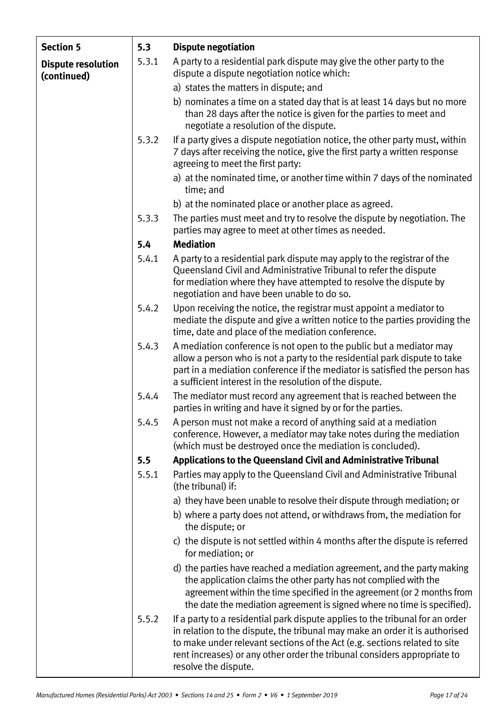| <b>Section 5</b>                         | 5.3   | <b>Dispute negotiation</b>                                                                                                                                                                                                                                                                                                                    |  |
|------------------------------------------|-------|-----------------------------------------------------------------------------------------------------------------------------------------------------------------------------------------------------------------------------------------------------------------------------------------------------------------------------------------------|--|
| <b>Dispute resolution</b><br>(continued) | 5.3.1 | A party to a residential park dispute may give the other party to the<br>dispute a dispute negotiation notice which:                                                                                                                                                                                                                          |  |
|                                          |       | a) states the matters in dispute; and                                                                                                                                                                                                                                                                                                         |  |
|                                          |       | b) nominates a time on a stated day that is at least 14 days but no more<br>than 28 days after the notice is given for the parties to meet and<br>negotiate a resolution of the dispute.                                                                                                                                                      |  |
|                                          | 5.3.2 | If a party gives a dispute negotiation notice, the other party must, within<br>7 days after receiving the notice, give the first party a written response<br>agreeing to meet the first party:                                                                                                                                                |  |
|                                          |       | a) at the nominated time, or another time within 7 days of the nominated<br>time; and                                                                                                                                                                                                                                                         |  |
|                                          |       | b) at the nominated place or another place as agreed.                                                                                                                                                                                                                                                                                         |  |
|                                          | 5.3.3 | The parties must meet and try to resolve the dispute by negotiation. The<br>parties may agree to meet at other times as needed.                                                                                                                                                                                                               |  |
|                                          | 5.4   | <b>Mediation</b>                                                                                                                                                                                                                                                                                                                              |  |
|                                          | 5.4.1 | A party to a residential park dispute may apply to the registrar of the<br>Queensland Civil and Administrative Tribunal to refer the dispute<br>for mediation where they have attempted to resolve the dispute by<br>negotiation and have been unable to do so.                                                                               |  |
|                                          | 5.4.2 | Upon receiving the notice, the registrar must appoint a mediator to<br>mediate the dispute and give a written notice to the parties providing the<br>time, date and place of the mediation conference.                                                                                                                                        |  |
|                                          | 5.4.3 | A mediation conference is not open to the public but a mediator may<br>allow a person who is not a party to the residential park dispute to take<br>part in a mediation conference if the mediator is satisfied the person has<br>a sufficient interest in the resolution of the dispute.                                                     |  |
|                                          | 5.4.4 | The mediator must record any agreement that is reached between the<br>parties in writing and have it signed by or for the parties.                                                                                                                                                                                                            |  |
|                                          | 5.4.5 | A person must not make a record of anything said at a mediation<br>conference. However, a mediator may take notes during the mediation<br>(which must be destroyed once the mediation is concluded).                                                                                                                                          |  |
|                                          | 5.5   | Applications to the Queensland Civil and Administrative Tribunal                                                                                                                                                                                                                                                                              |  |
|                                          | 5.5.1 | Parties may apply to the Queensland Civil and Administrative Tribunal<br>(the tribunal) if:                                                                                                                                                                                                                                                   |  |
|                                          |       | a) they have been unable to resolve their dispute through mediation; or                                                                                                                                                                                                                                                                       |  |
|                                          |       | b) where a party does not attend, or withdraws from, the mediation for<br>the dispute; or                                                                                                                                                                                                                                                     |  |
|                                          |       | c) the dispute is not settled within 4 months after the dispute is referred<br>for mediation; or                                                                                                                                                                                                                                              |  |
|                                          |       | d) the parties have reached a mediation agreement, and the party making<br>the application claims the other party has not complied with the<br>agreement within the time specified in the agreement (or 2 months from<br>the date the mediation agreement is signed where no time is specified).                                              |  |
|                                          | 5.5.2 | If a party to a residential park dispute applies to the tribunal for an order<br>in relation to the dispute, the tribunal may make an order it is authorised<br>to make under relevant sections of the Act (e.g. sections related to site<br>rent increases) or any other order the tribunal considers appropriate to<br>resolve the dispute. |  |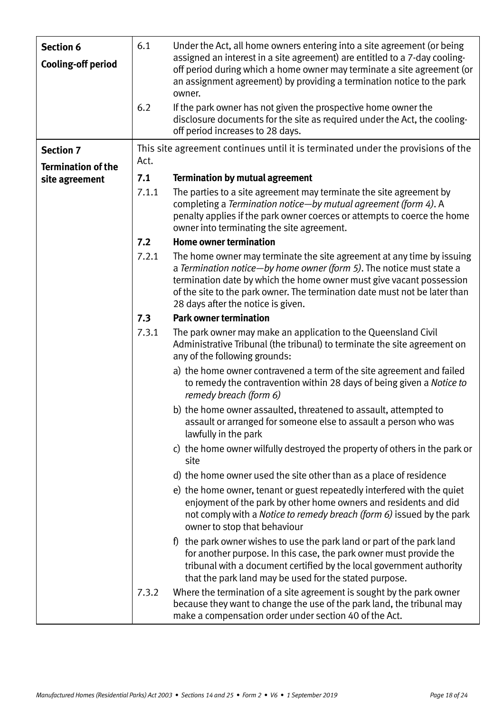| <b>Section 6</b><br><b>Cooling-off period</b> | 6.1   | Under the Act, all home owners entering into a site agreement (or being<br>assigned an interest in a site agreement) are entitled to a 7-day cooling-<br>off period during which a home owner may terminate a site agreement (or<br>an assignment agreement) by providing a termination notice to the park<br>owner.                       |
|-----------------------------------------------|-------|--------------------------------------------------------------------------------------------------------------------------------------------------------------------------------------------------------------------------------------------------------------------------------------------------------------------------------------------|
|                                               | 6.2   | If the park owner has not given the prospective home owner the<br>disclosure documents for the site as required under the Act, the cooling-<br>off period increases to 28 days.                                                                                                                                                            |
| <b>Section 7</b>                              |       | This site agreement continues until it is terminated under the provisions of the                                                                                                                                                                                                                                                           |
| <b>Termination of the</b>                     | Act.  |                                                                                                                                                                                                                                                                                                                                            |
| site agreement                                | 7.1   | <b>Termination by mutual agreement</b>                                                                                                                                                                                                                                                                                                     |
|                                               | 7.1.1 | The parties to a site agreement may terminate the site agreement by<br>completing a Termination notice-by mutual agreement (form 4). A<br>penalty applies if the park owner coerces or attempts to coerce the home<br>owner into terminating the site agreement.                                                                           |
|                                               | 7.2   | <b>Home owner termination</b>                                                                                                                                                                                                                                                                                                              |
|                                               | 7.2.1 | The home owner may terminate the site agreement at any time by issuing<br>a Termination notice-by home owner (form 5). The notice must state a<br>termination date by which the home owner must give vacant possession<br>of the site to the park owner. The termination date must not be later than<br>28 days after the notice is given. |
|                                               | 7.3   | <b>Park owner termination</b>                                                                                                                                                                                                                                                                                                              |
|                                               | 7.3.1 | The park owner may make an application to the Queensland Civil<br>Administrative Tribunal (the tribunal) to terminate the site agreement on<br>any of the following grounds:                                                                                                                                                               |
|                                               |       | a) the home owner contravened a term of the site agreement and failed<br>to remedy the contravention within 28 days of being given a Notice to<br>remedy breach (form 6)                                                                                                                                                                   |
|                                               |       | b) the home owner assaulted, threatened to assault, attempted to<br>assault or arranged for someone else to assault a person who was<br>lawfully in the park                                                                                                                                                                               |
|                                               |       | c) the home owner wilfully destroyed the property of others in the park or<br>site                                                                                                                                                                                                                                                         |
|                                               |       | d) the home owner used the site other than as a place of residence                                                                                                                                                                                                                                                                         |
|                                               |       | e) the home owner, tenant or guest repeatedly interfered with the quiet<br>enjoyment of the park by other home owners and residents and did<br>not comply with a Notice to remedy breach (form 6) issued by the park<br>owner to stop that behaviour                                                                                       |
|                                               |       | f) the park owner wishes to use the park land or part of the park land<br>for another purpose. In this case, the park owner must provide the<br>tribunal with a document certified by the local government authority<br>that the park land may be used for the stated purpose.                                                             |
|                                               | 7.3.2 | Where the termination of a site agreement is sought by the park owner<br>because they want to change the use of the park land, the tribunal may<br>make a compensation order under section 40 of the Act.                                                                                                                                  |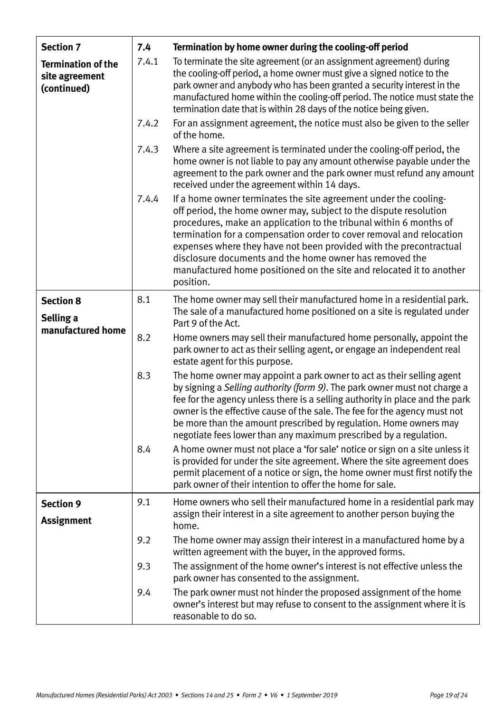| <b>Section 7</b>                                           | 7.4   | Termination by home owner during the cooling-off period                                                                                                                                                                                                                                                                                                                                                                                                                                                   |
|------------------------------------------------------------|-------|-----------------------------------------------------------------------------------------------------------------------------------------------------------------------------------------------------------------------------------------------------------------------------------------------------------------------------------------------------------------------------------------------------------------------------------------------------------------------------------------------------------|
| <b>Termination of the</b><br>site agreement<br>(continued) | 7.4.1 | To terminate the site agreement (or an assignment agreement) during<br>the cooling-off period, a home owner must give a signed notice to the<br>park owner and anybody who has been granted a security interest in the<br>manufactured home within the cooling-off period. The notice must state the<br>termination date that is within 28 days of the notice being given.                                                                                                                                |
|                                                            | 7.4.2 | For an assignment agreement, the notice must also be given to the seller<br>of the home.                                                                                                                                                                                                                                                                                                                                                                                                                  |
|                                                            | 7.4.3 | Where a site agreement is terminated under the cooling-off period, the<br>home owner is not liable to pay any amount otherwise payable under the<br>agreement to the park owner and the park owner must refund any amount<br>received under the agreement within 14 days.                                                                                                                                                                                                                                 |
|                                                            | 7.4.4 | If a home owner terminates the site agreement under the cooling-<br>off period, the home owner may, subject to the dispute resolution<br>procedures, make an application to the tribunal within 6 months of<br>termination for a compensation order to cover removal and relocation<br>expenses where they have not been provided with the precontractual<br>disclosure documents and the home owner has removed the<br>manufactured home positioned on the site and relocated it to another<br>position. |
| <b>Section 8</b>                                           | 8.1   | The home owner may sell their manufactured home in a residential park.<br>The sale of a manufactured home positioned on a site is regulated under                                                                                                                                                                                                                                                                                                                                                         |
| Selling a<br>manufactured home                             |       | Part 9 of the Act.                                                                                                                                                                                                                                                                                                                                                                                                                                                                                        |
|                                                            | 8.2   | Home owners may sell their manufactured home personally, appoint the<br>park owner to act as their selling agent, or engage an independent real<br>estate agent for this purpose.                                                                                                                                                                                                                                                                                                                         |
|                                                            | 8.3   | The home owner may appoint a park owner to act as their selling agent<br>by signing a Selling authority (form 9). The park owner must not charge a<br>fee for the agency unless there is a selling authority in place and the park<br>owner is the effective cause of the sale. The fee for the agency must not<br>be more than the amount prescribed by regulation. Home owners may<br>negotiate fees lower than any maximum prescribed by a regulation.                                                 |
|                                                            | 8.4   | A home owner must not place a 'for sale' notice or sign on a site unless it<br>is provided for under the site agreement. Where the site agreement does<br>permit placement of a notice or sign, the home owner must first notify the<br>park owner of their intention to offer the home for sale.                                                                                                                                                                                                         |
| <b>Section 9</b>                                           | 9.1   | Home owners who sell their manufactured home in a residential park may                                                                                                                                                                                                                                                                                                                                                                                                                                    |
| <b>Assignment</b>                                          |       | assign their interest in a site agreement to another person buying the<br>home.                                                                                                                                                                                                                                                                                                                                                                                                                           |
|                                                            | 9.2   | The home owner may assign their interest in a manufactured home by a<br>written agreement with the buyer, in the approved forms.                                                                                                                                                                                                                                                                                                                                                                          |
|                                                            | 9.3   | The assignment of the home owner's interest is not effective unless the<br>park owner has consented to the assignment.                                                                                                                                                                                                                                                                                                                                                                                    |
|                                                            | 9.4   | The park owner must not hinder the proposed assignment of the home<br>owner's interest but may refuse to consent to the assignment where it is<br>reasonable to do so.                                                                                                                                                                                                                                                                                                                                    |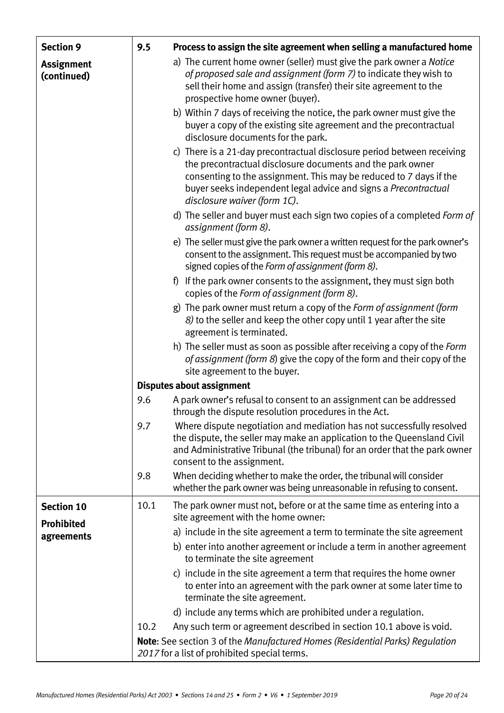| <b>Section 9</b>                 | 9.5  | Process to assign the site agreement when selling a manufactured home                                                                                                                                                                                                                                          |
|----------------------------------|------|----------------------------------------------------------------------------------------------------------------------------------------------------------------------------------------------------------------------------------------------------------------------------------------------------------------|
| <b>Assignment</b><br>(continued) |      | a) The current home owner (seller) must give the park owner a Notice<br>of proposed sale and assignment (form 7) to indicate they wish to<br>sell their home and assign (transfer) their site agreement to the<br>prospective home owner (buyer).                                                              |
|                                  |      | b) Within 7 days of receiving the notice, the park owner must give the<br>buyer a copy of the existing site agreement and the precontractual<br>disclosure documents for the park.                                                                                                                             |
|                                  |      | c) There is a 21-day precontractual disclosure period between receiving<br>the precontractual disclosure documents and the park owner<br>consenting to the assignment. This may be reduced to 7 days if the<br>buyer seeks independent legal advice and signs a Precontractual<br>disclosure waiver (form 1C). |
|                                  |      | d) The seller and buyer must each sign two copies of a completed Form of<br>assignment (form 8).                                                                                                                                                                                                               |
|                                  |      | e) The seller must give the park owner a written request for the park owner's<br>consent to the assignment. This request must be accompanied by two<br>signed copies of the Form of assignment (form 8).                                                                                                       |
|                                  |      | f) If the park owner consents to the assignment, they must sign both<br>copies of the Form of assignment (form 8).                                                                                                                                                                                             |
|                                  |      | g) The park owner must return a copy of the <i>Form of assignment (form</i><br>8) to the seller and keep the other copy until 1 year after the site<br>agreement is terminated.                                                                                                                                |
|                                  |      | h) The seller must as soon as possible after receiving a copy of the <i>Form</i><br>of assignment (form 8) give the copy of the form and their copy of the<br>site agreement to the buyer.                                                                                                                     |
|                                  |      | <b>Disputes about assignment</b>                                                                                                                                                                                                                                                                               |
|                                  | 9.6  | A park owner's refusal to consent to an assignment can be addressed<br>through the dispute resolution procedures in the Act.                                                                                                                                                                                   |
|                                  | 9.7  | Where dispute negotiation and mediation has not successfully resolved<br>the dispute, the seller may make an application to the Queensland Civil<br>and Administrative Tribunal (the tribunal) for an order that the park owner<br>consent to the assignment.                                                  |
|                                  | 9.8  | When deciding whether to make the order, the tribunal will consider<br>whether the park owner was being unreasonable in refusing to consent.                                                                                                                                                                   |
| <b>Section 10</b>                | 10.1 | The park owner must not, before or at the same time as entering into a<br>site agreement with the home owner:                                                                                                                                                                                                  |
| <b>Prohibited</b><br>agreements  |      | a) include in the site agreement a term to terminate the site agreement                                                                                                                                                                                                                                        |
|                                  |      | b) enter into another agreement or include a term in another agreement<br>to terminate the site agreement                                                                                                                                                                                                      |
|                                  |      | c) include in the site agreement a term that requires the home owner<br>to enter into an agreement with the park owner at some later time to<br>terminate the site agreement.                                                                                                                                  |
|                                  |      | d) include any terms which are prohibited under a regulation.                                                                                                                                                                                                                                                  |
|                                  | 10.2 | Any such term or agreement described in section 10.1 above is void.                                                                                                                                                                                                                                            |
|                                  |      | Note: See section 3 of the Manufactured Homes (Residential Parks) Regulation<br>2017 for a list of prohibited special terms.                                                                                                                                                                                   |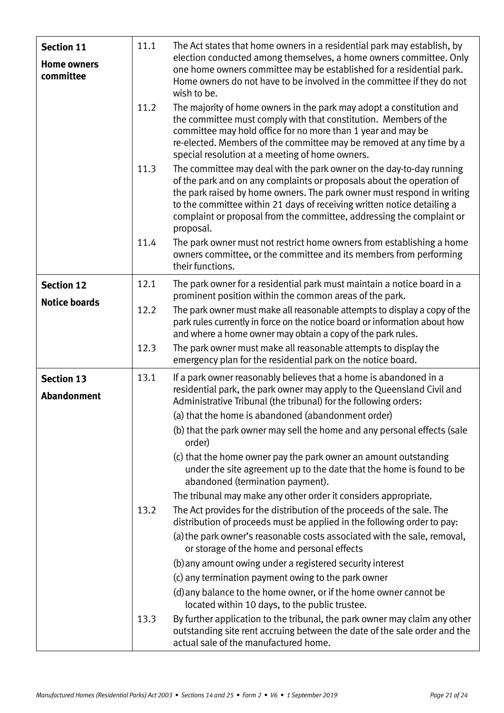| <b>Section 11</b><br><b>Home owners</b><br>committee | 11.1 | The Act states that home owners in a residential park may establish, by<br>election conducted among themselves, a home owners committee. Only<br>one home owners committee may be established for a residential park.<br>Home owners do not have to be involved in the committee if they do not<br>wish to be.                                                                           |
|------------------------------------------------------|------|------------------------------------------------------------------------------------------------------------------------------------------------------------------------------------------------------------------------------------------------------------------------------------------------------------------------------------------------------------------------------------------|
|                                                      | 11.2 | The majority of home owners in the park may adopt a constitution and<br>the committee must comply with that constitution. Members of the<br>committee may hold office for no more than 1 year and may be<br>re-elected. Members of the committee may be removed at any time by a<br>special resolution at a meeting of home owners.                                                      |
|                                                      | 11.3 | The committee may deal with the park owner on the day-to-day running<br>of the park and on any complaints or proposals about the operation of<br>the park raised by home owners. The park owner must respond in writing<br>to the committee within 21 days of receiving written notice detailing a<br>complaint or proposal from the committee, addressing the complaint or<br>proposal. |
|                                                      | 11.4 | The park owner must not restrict home owners from establishing a home<br>owners committee, or the committee and its members from performing<br>their functions.                                                                                                                                                                                                                          |
| <b>Section 12</b>                                    | 12.1 | The park owner for a residential park must maintain a notice board in a<br>prominent position within the common areas of the park.                                                                                                                                                                                                                                                       |
| <b>Notice boards</b>                                 | 12.2 | The park owner must make all reasonable attempts to display a copy of the<br>park rules currently in force on the notice board or information about how<br>and where a home owner may obtain a copy of the park rules.                                                                                                                                                                   |
|                                                      | 12.3 | The park owner must make all reasonable attempts to display the<br>emergency plan for the residential park on the notice board.                                                                                                                                                                                                                                                          |
| <b>Section 13</b><br><b>Abandonment</b>              | 13.1 | If a park owner reasonably believes that a home is abandoned in a<br>residential park, the park owner may apply to the Queensland Civil and<br>Administrative Tribunal (the tribunal) for the following orders:<br>(a) that the home is abandoned (abandonment order)                                                                                                                    |
|                                                      |      | (b) that the park owner may sell the home and any personal effects (sale<br>order)                                                                                                                                                                                                                                                                                                       |
|                                                      |      | (c) that the home owner pay the park owner an amount outstanding<br>under the site agreement up to the date that the home is found to be<br>abandoned (termination payment).                                                                                                                                                                                                             |
|                                                      |      | The tribunal may make any other order it considers appropriate.                                                                                                                                                                                                                                                                                                                          |
|                                                      | 13.2 | The Act provides for the distribution of the proceeds of the sale. The<br>distribution of proceeds must be applied in the following order to pay:                                                                                                                                                                                                                                        |
|                                                      |      | (a) the park owner's reasonable costs associated with the sale, removal,<br>or storage of the home and personal effects                                                                                                                                                                                                                                                                  |
|                                                      |      | (b) any amount owing under a registered security interest                                                                                                                                                                                                                                                                                                                                |
|                                                      |      | (c) any termination payment owing to the park owner                                                                                                                                                                                                                                                                                                                                      |
|                                                      |      | (d) any balance to the home owner, or if the home owner cannot be<br>located within 10 days, to the public trustee.                                                                                                                                                                                                                                                                      |
|                                                      | 13.3 | By further application to the tribunal, the park owner may claim any other<br>outstanding site rent accruing between the date of the sale order and the<br>actual sale of the manufactured home.                                                                                                                                                                                         |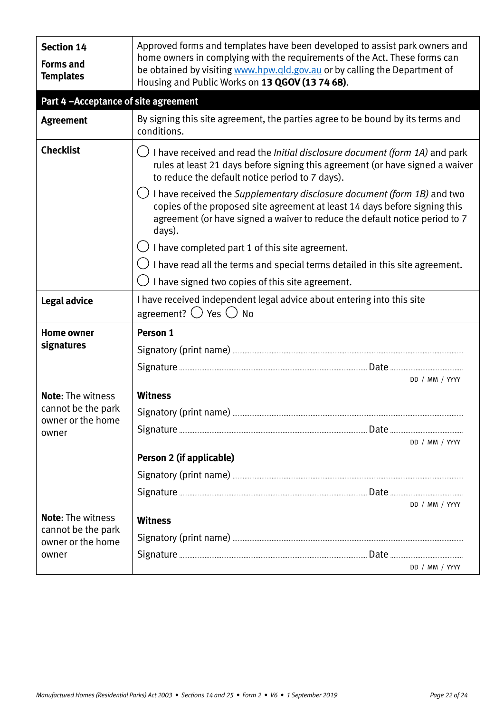| <b>Section 14</b><br><b>Forms and</b><br><b>Templates</b> | Approved forms and templates have been developed to assist park owners and<br>home owners in complying with the requirements of the Act. These forms can<br>be obtained by visiting www.hpw.qld.gov.au or by calling the Department of<br>Housing and Public Works on 13 QGOV (13 74 68). |                |  |
|-----------------------------------------------------------|-------------------------------------------------------------------------------------------------------------------------------------------------------------------------------------------------------------------------------------------------------------------------------------------|----------------|--|
| Part 4-Acceptance of site agreement                       |                                                                                                                                                                                                                                                                                           |                |  |
| <b>Agreement</b>                                          | By signing this site agreement, the parties agree to be bound by its terms and<br>conditions.                                                                                                                                                                                             |                |  |
| <b>Checklist</b>                                          | I have received and read the <i>Initial disclosure document (form 1A)</i> and park<br>rules at least 21 days before signing this agreement (or have signed a waiver<br>to reduce the default notice period to 7 days).                                                                    |                |  |
|                                                           | $\bigcup$ I have received the Supplementary disclosure document (form 1B) and two<br>copies of the proposed site agreement at least 14 days before signing this<br>agreement (or have signed a waiver to reduce the default notice period to 7<br>days).                                  |                |  |
|                                                           | $\bigcirc$ I have completed part 1 of this site agreement.                                                                                                                                                                                                                                |                |  |
|                                                           | $\bigcup$ I have read all the terms and special terms detailed in this site agreement.                                                                                                                                                                                                    |                |  |
|                                                           | I have signed two copies of this site agreement.                                                                                                                                                                                                                                          |                |  |
| Legal advice                                              | I have received independent legal advice about entering into this site<br>agreement? $\bigcirc$ Yes $\bigcirc$ No                                                                                                                                                                         |                |  |
| <b>Home owner</b>                                         | Person 1                                                                                                                                                                                                                                                                                  |                |  |
| signatures                                                |                                                                                                                                                                                                                                                                                           |                |  |
|                                                           |                                                                                                                                                                                                                                                                                           |                |  |
|                                                           | DD / MM / YYYY                                                                                                                                                                                                                                                                            |                |  |
| <b>Note: The witness</b>                                  | <b>Witness</b>                                                                                                                                                                                                                                                                            |                |  |
| cannot be the park<br>owner or the home                   | Signatory (print name)                                                                                                                                                                                                                                                                    |                |  |
| owner                                                     |                                                                                                                                                                                                                                                                                           |                |  |
|                                                           | DD / MM / YYYY                                                                                                                                                                                                                                                                            |                |  |
|                                                           | <b>Person 2 (if applicable)</b>                                                                                                                                                                                                                                                           |                |  |
|                                                           |                                                                                                                                                                                                                                                                                           |                |  |
|                                                           | DD / MM / YYYY                                                                                                                                                                                                                                                                            |                |  |
| <b>Note:</b> The witness                                  | <b>Witness</b>                                                                                                                                                                                                                                                                            |                |  |
| cannot be the park<br>owner or the home                   |                                                                                                                                                                                                                                                                                           |                |  |
| owner                                                     |                                                                                                                                                                                                                                                                                           |                |  |
|                                                           |                                                                                                                                                                                                                                                                                           | DD / MM / YYYY |  |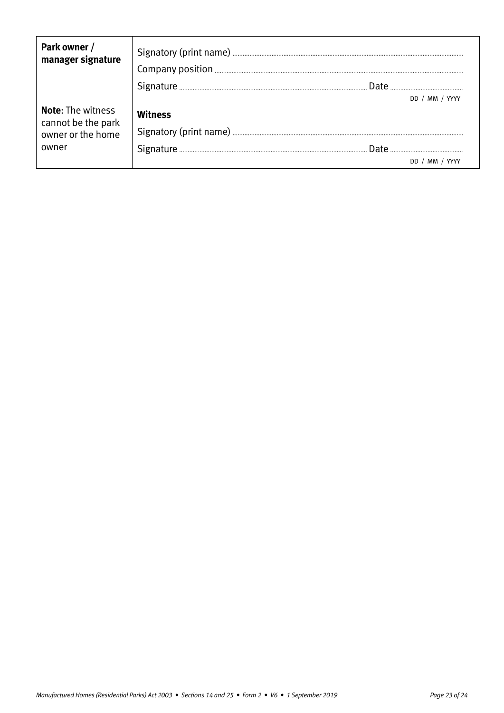| Park owner /<br>manager signature                                            |         |                |  |
|------------------------------------------------------------------------------|---------|----------------|--|
|                                                                              |         |                |  |
|                                                                              |         | DD / MM / YYYY |  |
| <b>Note:</b> The witness<br>cannot be the park<br>owner or the home<br>owner | Witness |                |  |
|                                                                              |         |                |  |
|                                                                              |         |                |  |
|                                                                              |         | MM /           |  |